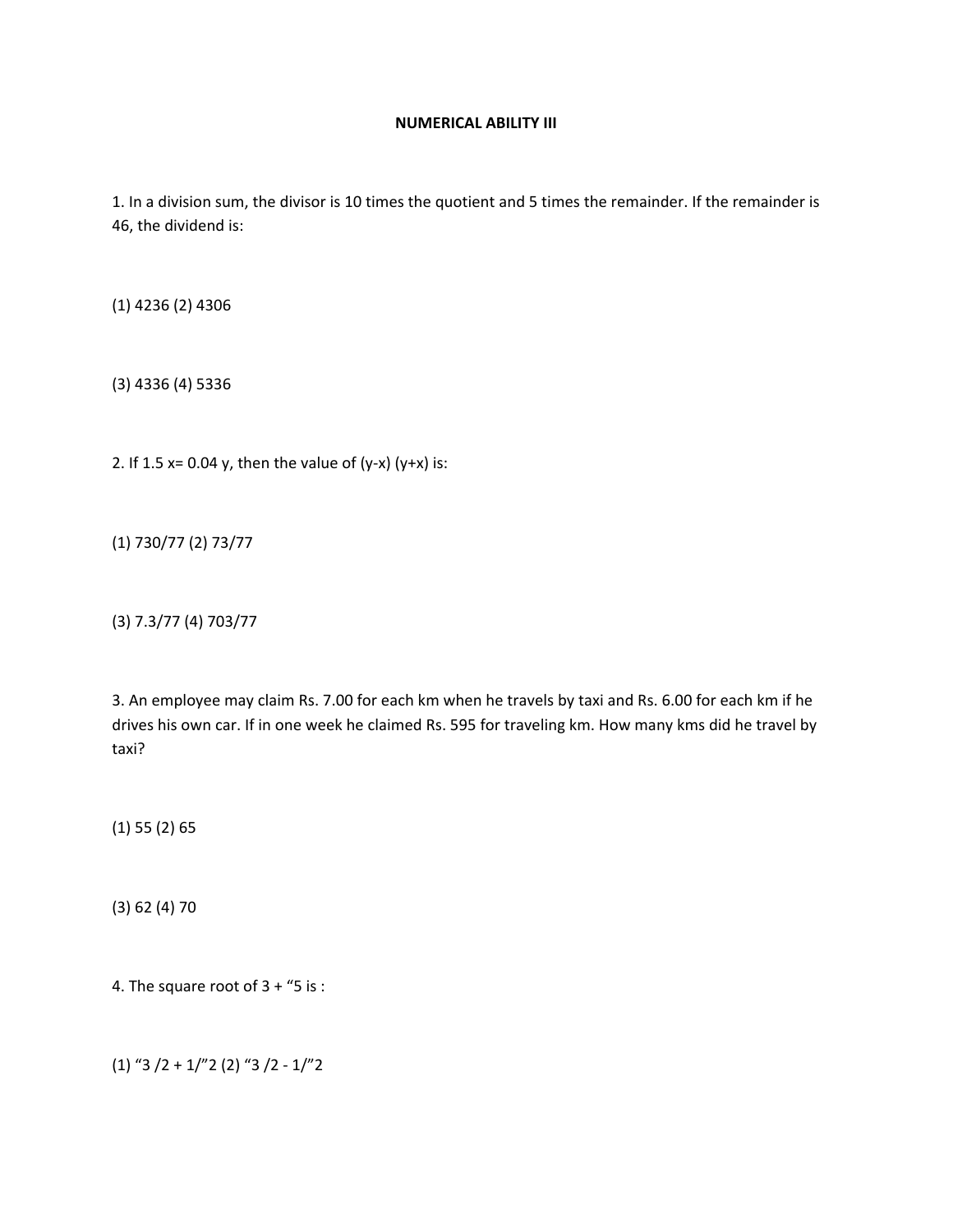## **NUMERICAL ABILITY III**

1. In a division sum, the divisor is 10 times the quotient and 5 times the remainder. If the remainder is 46, the dividend is:

(1) 4236 (2) 4306

(3) 4336 (4) 5336

2. If 1.5 x= 0.04 y, then the value of  $(y-x)$   $(y+x)$  is:

(1) 730/77 (2) 73/77

(3) 7.3/77 (4) 703/77

3. An employee may claim Rs. 7.00 for each km when he travels by taxi and Rs. 6.00 for each km if he drives his own car. If in one week he claimed Rs. 595 for traveling km. How many kms did he travel by taxi?

(1) 55 (2) 65

(3) 62 (4) 70

4. The square root of 3 + "5 is :

(1) "3 /2 + 1/"2 (2) "3 /2 ‐ 1/"2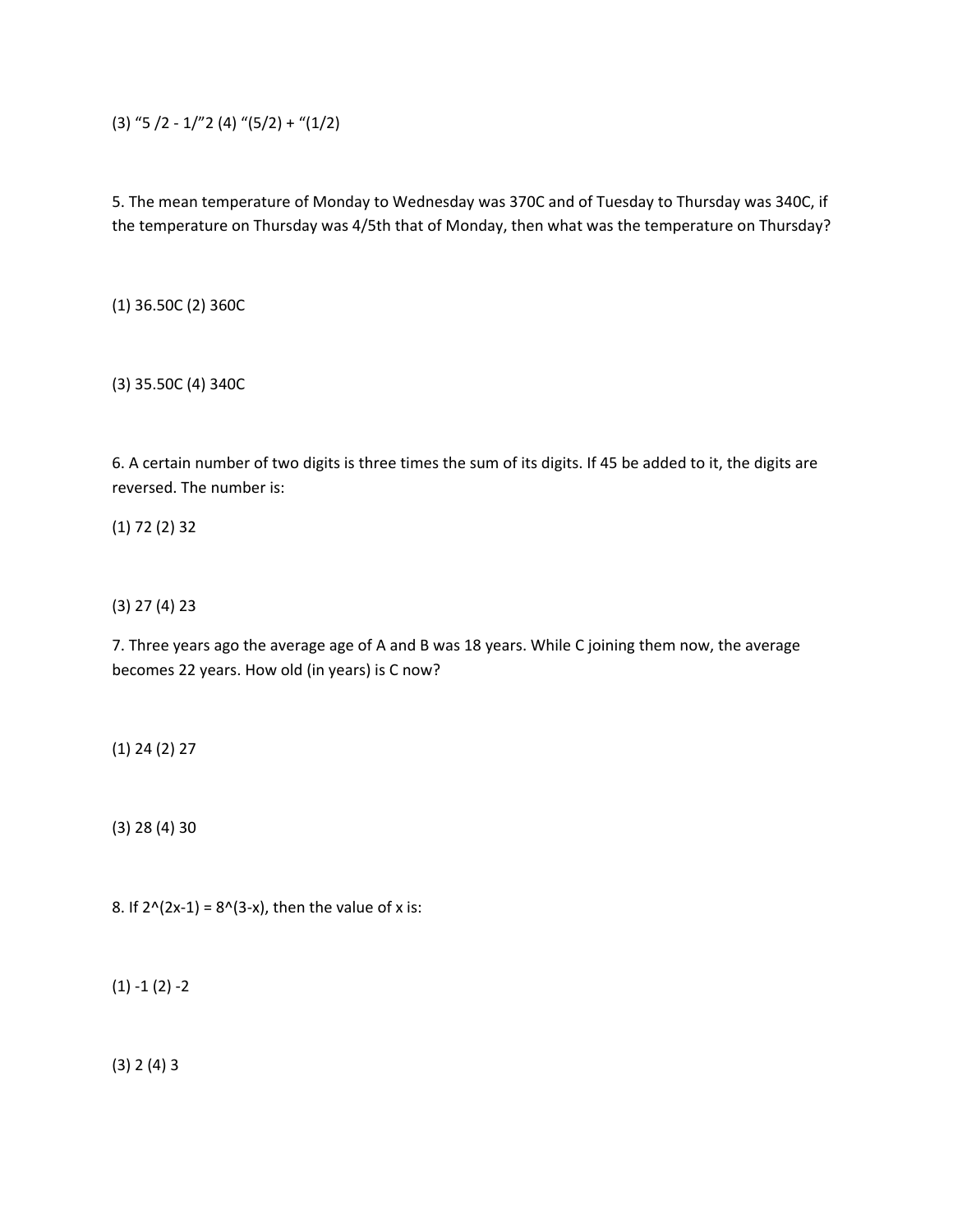(3) "5 /2 -  $1$ /"2 (4) "(5/2) + "(1/2)

5. The mean temperature of Monday to Wednesday was 370C and of Tuesday to Thursday was 340C, if the temperature on Thursday was 4/5th that of Monday, then what was the temperature on Thursday?

(1) 36.50C (2) 360C

(3) 35.50C (4) 340C

6. A certain number of two digits is three times the sum of its digits. If 45 be added to it, the digits are reversed. The number is:

(1) 72 (2) 32

(3) 27 (4) 23

7. Three years ago the average age of A and B was 18 years. While C joining them now, the average becomes 22 years. How old (in years) is C now?

(1) 24 (2) 27

(3) 28 (4) 30

8. If  $2^{(2x-1)} = 8^{(3-x)}$ , then the value of x is:

 $(1) - 1 (2) - 2$ 

(3) 2 (4) 3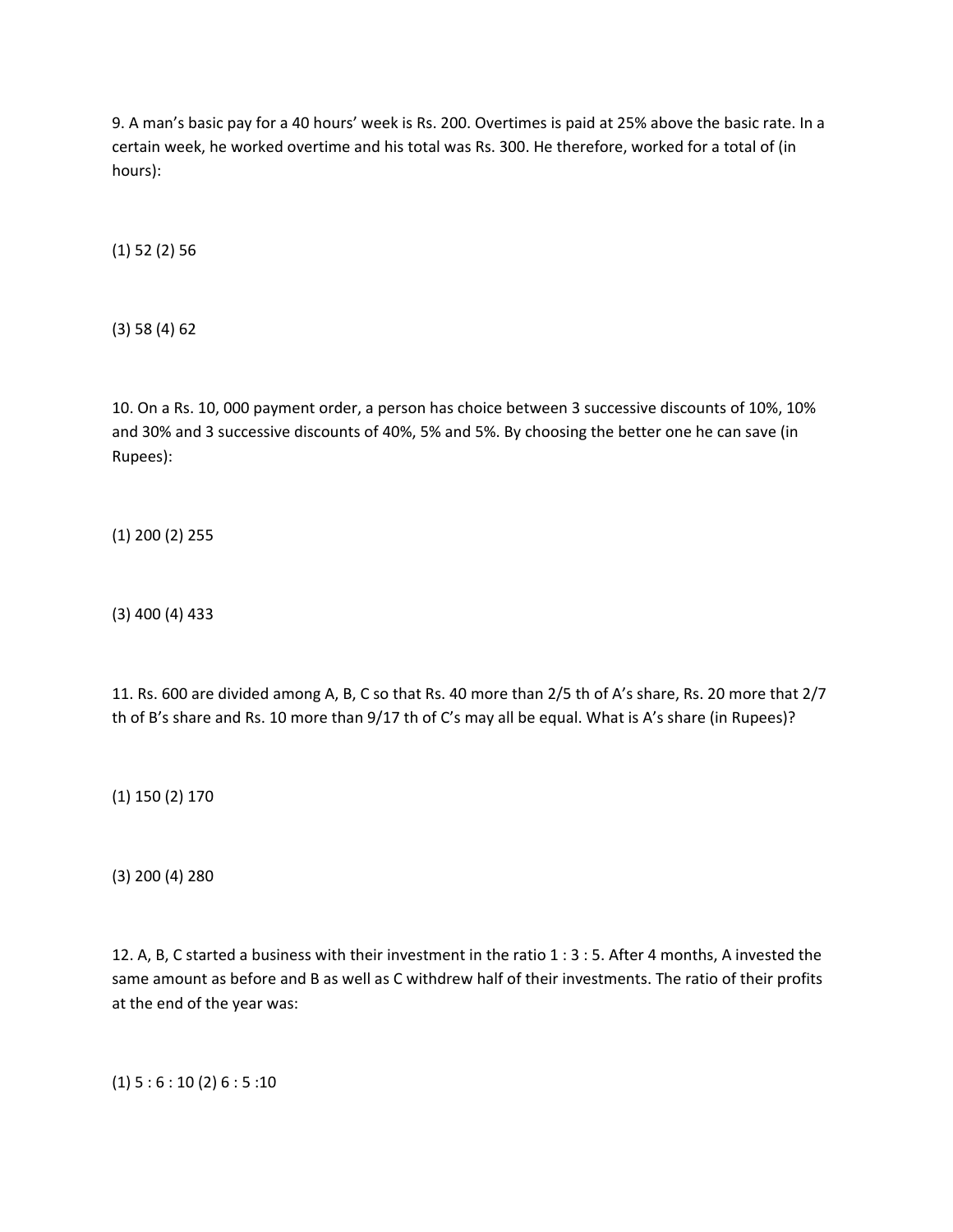9. A man's basic pay for a 40 hours' week is Rs. 200. Overtimes is paid at 25% above the basic rate. In a certain week, he worked overtime and his total was Rs. 300. He therefore, worked for a total of (in hours):

(1) 52 (2) 56

(3) 58 (4) 62

10. On a Rs. 10, 000 payment order, a person has choice between 3 successive discounts of 10%, 10% and 30% and 3 successive discounts of 40%, 5% and 5%. By choosing the better one he can save (in Rupees):

(1) 200 (2) 255

(3) 400 (4) 433

11. Rs. 600 are divided among A, B, C so that Rs. 40 more than 2/5 th of A's share, Rs. 20 more that 2/7 th of B's share and Rs. 10 more than 9/17 th of C's may all be equal. What is A's share (in Rupees)?

(1) 150 (2) 170

(3) 200 (4) 280

12. A, B, C started a business with their investment in the ratio 1 : 3 : 5. After 4 months, A invested the same amount as before and B as well as C withdrew half of their investments. The ratio of their profits at the end of the year was:

 $(1) 5 : 6 : 10 (2) 6 : 5 : 10$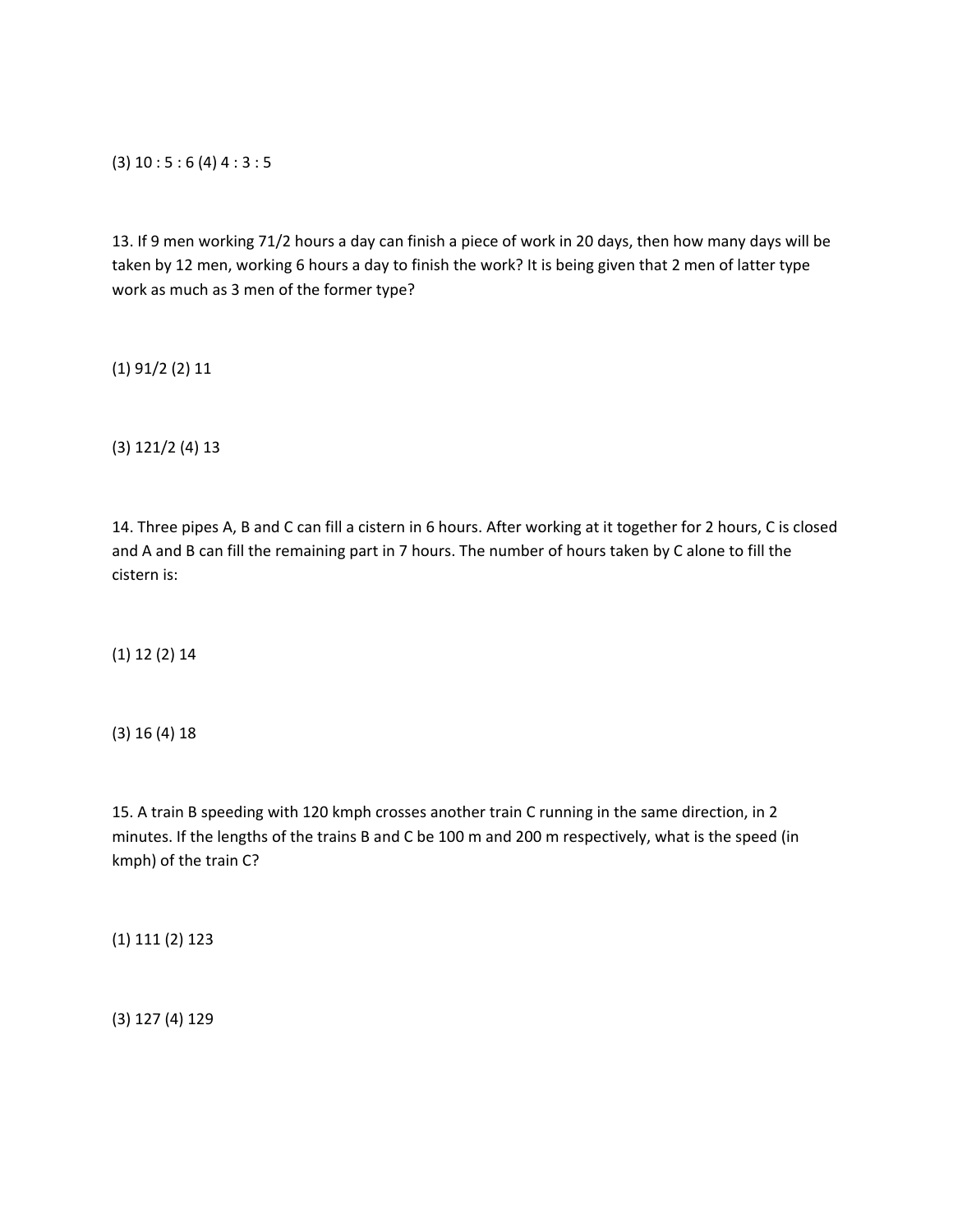(3) 10 : 5 : 6 (4) 4 : 3 : 5

13. If 9 men working 71/2 hours a day can finish a piece of work in 20 days, then how many days will be taken by 12 men, working 6 hours a day to finish the work? It is being given that 2 men of latter type work as much as 3 men of the former type?

(1) 91/2 (2) 11

(3) 121/2 (4) 13

14. Three pipes A, B and C can fill a cistern in 6 hours. After working at it together for 2 hours, C is closed and A and B can fill the remaining part in 7 hours. The number of hours taken by C alone to fill the cistern is:

(1) 12 (2) 14

(3) 16 (4) 18

15. A train B speeding with 120 kmph crosses another train C running in the same direction, in 2 minutes. If the lengths of the trains B and C be 100 m and 200 m respectively, what is the speed (in kmph) of the train C?

(1) 111 (2) 123

(3) 127 (4) 129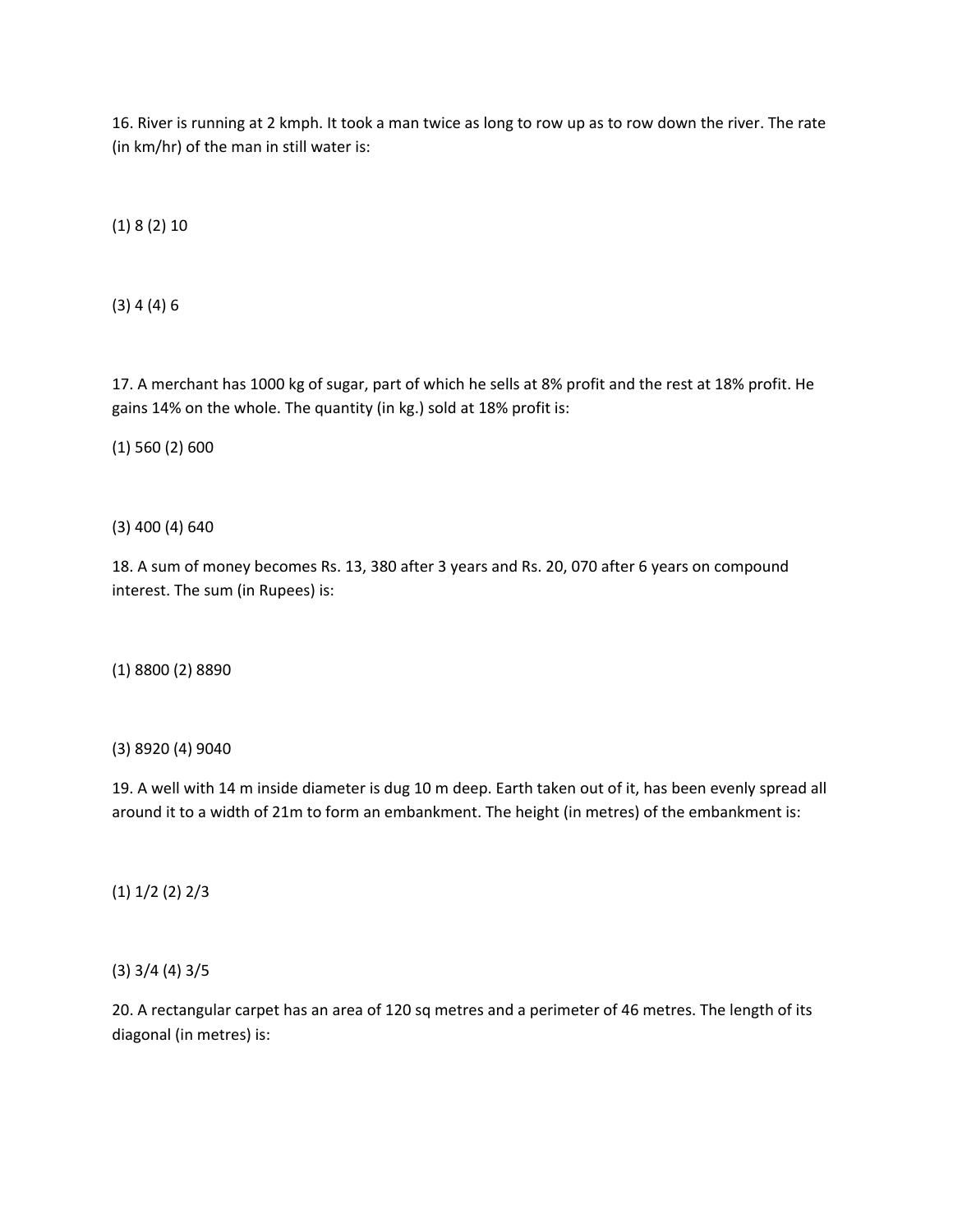16. River is running at 2 kmph. It took a man twice as long to row up as to row down the river. The rate (in km/hr) of the man in still water is:

(1) 8 (2) 10

(3) 4 (4) 6

17. A merchant has 1000 kg of sugar, part of which he sells at 8% profit and the rest at 18% profit. He gains 14% on the whole. The quantity (in kg.) sold at 18% profit is:

(1) 560 (2) 600

(3) 400 (4) 640

18. A sum of money becomes Rs. 13, 380 after 3 years and Rs. 20, 070 after 6 years on compound interest. The sum (in Rupees) is:

(1) 8800 (2) 8890

(3) 8920 (4) 9040

19. A well with 14 m inside diameter is dug 10 m deep. Earth taken out of it, has been evenly spread all around it to a width of 21m to form an embankment. The height (in metres) of the embankment is:

(1) 1/2 (2) 2/3

(3) 3/4 (4) 3/5

20. A rectangular carpet has an area of 120 sq metres and a perimeter of 46 metres. The length of its diagonal (in metres) is: